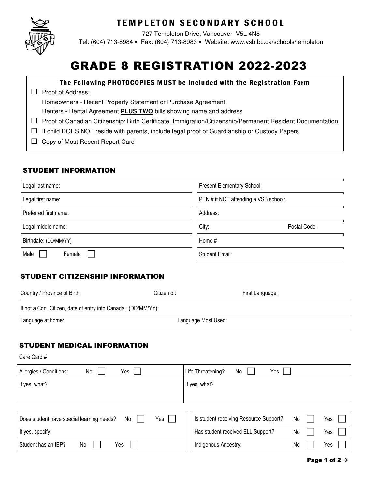

# **TEMPLETON SECONDARY SCHOOL**

727 Templeton Drive, Vancouver V5L 4N8 Tel: (604) 713-8984 Fax: (604) 713-8983 Website: www.vsb.bc.ca/schools/templeton

# GRADE 8 REGISTRATION 2022-2023

#### The Following **PHOTOCOPIES MUST** be Included with the Registration Form

#### $\Box$  Proof of Address:

Homeowners - Recent Property Statement or Purchase Agreement

Renters - Rental Agreement **PLUS TWO** bills showing name and address

- $\Box$  Proof of Canadian Citizenship: Birth Certificate, Immigration/Citizenship/Permanent Resident Documentation
- $\Box$  If child DOES NOT reside with parents, include legal proof of Guardianship or Custody Papers
- □ Copy of Most Recent Report Card

### STUDENT INFORMATION

| Legal last name:      | <b>Present Elementary School:</b>    |
|-----------------------|--------------------------------------|
| Legal first name:     | PEN # if NOT attending a VSB school: |
| Preferred first name: | Address:                             |
| Legal middle name:    | City:<br>Postal Code:                |
| Birthdate: (DD/MM/YY) | Home #                               |
| Male<br>Female        | <b>Student Email:</b>                |

#### STUDENT CITIZENSHIP INFORMATION

| Country / Province of Birth:                                  | Citizen of:         | First Language:                        |    |     |
|---------------------------------------------------------------|---------------------|----------------------------------------|----|-----|
| If not a Cdn. Citizen, date of entry into Canada: (DD/MM/YY): |                     |                                        |    |     |
| Language at home:                                             | Language Most Used: |                                        |    |     |
| <b>STUDENT MEDICAL INFORMATION</b><br>Care Card #             |                     |                                        |    |     |
| Allergies / Conditions:<br>Yes<br>No                          |                     | No<br>Life Threatening?<br>Yes         |    |     |
| If yes, what?                                                 |                     | If yes, what?                          |    |     |
| Does student have special learning needs?<br>No               | Yes                 | Is student receiving Resource Support? | No | Yes |
| If yes, specify:                                              |                     | Has student received ELL Support?      | No | Yes |
| Student has an IEP?<br>Yes<br>No                              |                     | Indigenous Ancestry:                   | No | Yes |